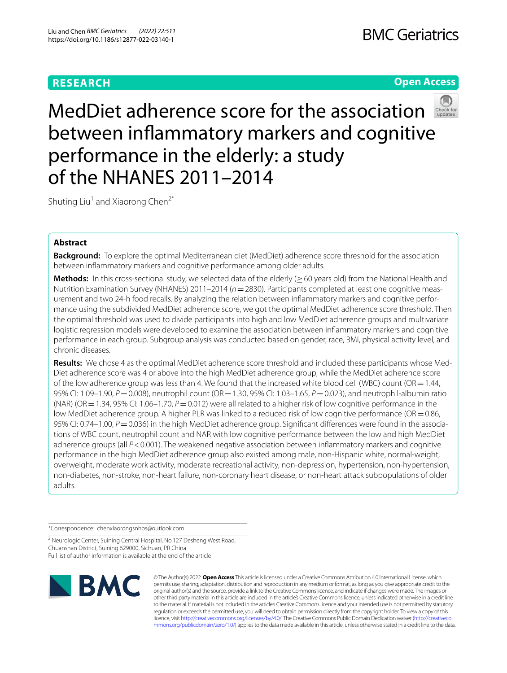# **RESEARCH**

## **Open Access**



MedDiet adherence score for the association between infammatory markers and cognitive performance in the elderly: a study of the NHANES 2011–2014

Shuting Liu<sup>1</sup> and Xiaorong Chen<sup>2\*</sup>

## **Abstract**

**Background:** To explore the optimal Mediterranean diet (MedDiet) adherence score threshold for the association between infammatory markers and cognitive performance among older adults.

**Methods:** In this cross-sectional study, we selected data of the elderly (≥60 years old) from the National Health and Nutrition Examination Survey (NHANES) 2011–2014 ( $n=2830$ ). Participants completed at least one cognitive measurement and two 24-h food recalls. By analyzing the relation between infammatory markers and cognitive performance using the subdivided MedDiet adherence score, we got the optimal MedDiet adherence score threshold. Then the optimal threshold was used to divide participants into high and low MedDiet adherence groups and multivariate logistic regression models were developed to examine the association between infammatory markers and cognitive performance in each group. Subgroup analysis was conducted based on gender, race, BMI, physical activity level, and chronic diseases.

**Results:** We chose 4 as the optimal MedDiet adherence score threshold and included these participants whose Med-Diet adherence score was 4 or above into the high MedDiet adherence group, while the MedDiet adherence score of the low adherence group was less than 4. We found that the increased white blood cell (WBC) count (OR  $=$  1.44, 95% CI: 1.09–1.90, *P*=0.008), neutrophil count (OR=1.30, 95% CI: 1.03–1.65, *P*=0.023), and neutrophil-albumin ratio (NAR) (OR = 1.34, 95% CI: 1.06–1.70,  $P = 0.012$ ) were all related to a higher risk of low cognitive performance in the low MedDiet adherence group. A higher PLR was linked to a reduced risk of low cognitive performance (OR = 0.86, 95% CI: 0.74–1.00, *P* = 0.036) in the high MedDiet adherence group. Significant differences were found in the associations of WBC count, neutrophil count and NAR with low cognitive performance between the low and high MedDiet adherence groups (all  $P < 0.001$ ). The weakened negative association between inflammatory markers and cognitive performance in the high MedDiet adherence group also existed among male, non-Hispanic white, normal-weight, overweight, moderate work activity, moderate recreational activity, non-depression, hypertension, non-hypertension, non-diabetes, non-stroke, non-heart failure, non-coronary heart disease, or non-heart attack subpopulations of older adults.

\*Correspondence: chenxiaorongsnhos@outlook.com

<sup>2</sup> Neurologic Center, Suining Central Hospital, No.127 Desheng West Road, Chuanshan District, Suining 629000, Sichuan, PR China Full list of author information is available at the end of the article



© The Author(s) 2022. **Open Access** This article is licensed under a Creative Commons Attribution 4.0 International License, which permits use, sharing, adaptation, distribution and reproduction in any medium or format, as long as you give appropriate credit to the original author(s) and the source, provide a link to the Creative Commons licence, and indicate if changes were made. The images or other third party material in this article are included in the article's Creative Commons licence, unless indicated otherwise in a credit line to the material. If material is not included in the article's Creative Commons licence and your intended use is not permitted by statutory regulation or exceeds the permitted use, you will need to obtain permission directly from the copyright holder. To view a copy of this licence, visit [http://creativecommons.org/licenses/by/4.0/.](http://creativecommons.org/licenses/by/4.0/) The Creative Commons Public Domain Dedication waiver ([http://creativeco](http://creativecommons.org/publicdomain/zero/1.0/) [mmons.org/publicdomain/zero/1.0/](http://creativecommons.org/publicdomain/zero/1.0/)) applies to the data made available in this article, unless otherwise stated in a credit line to the data.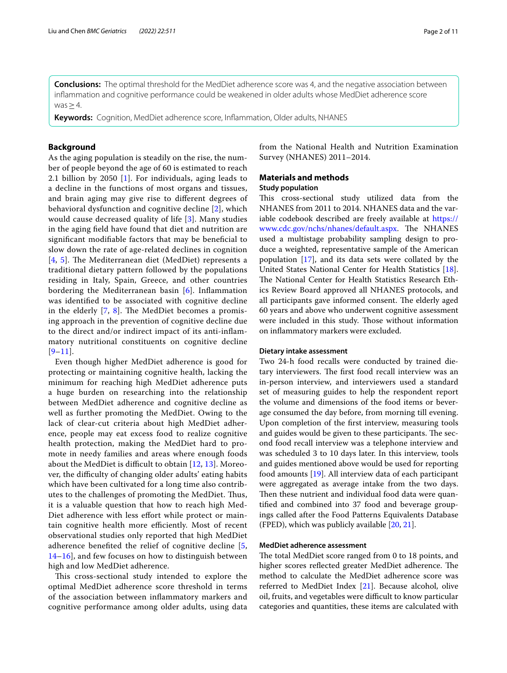**Conclusions:** The optimal threshold for the MedDiet adherence score was 4, and the negative association between infammation and cognitive performance could be weakened in older adults whose MedDiet adherence score was  $\geq$  4.

**Keywords:** Cognition, MedDiet adherence score, Infammation, Older adults, NHANES

### **Background**

As the aging population is steadily on the rise, the number of people beyond the age of 60 is estimated to reach 2.1 billion by 2050 [[1](#page-9-0)]. For individuals, aging leads to a decline in the functions of most organs and tissues, and brain aging may give rise to diferent degrees of behavioral dysfunction and cognitive decline [[2\]](#page-10-0), which would cause decreased quality of life [\[3](#page-10-1)]. Many studies in the aging feld have found that diet and nutrition are signifcant modifable factors that may be benefcial to slow down the rate of age-related declines in cognition [[4](#page-10-2), [5](#page-10-3)]. The Mediterranean diet (MedDiet) represents a traditional dietary pattern followed by the populations residing in Italy, Spain, Greece, and other countries bordering the Mediterranean basin [[6](#page-10-4)]. Infammation was identifed to be associated with cognitive decline in the elderly  $[7, 8]$  $[7, 8]$  $[7, 8]$  $[7, 8]$ . The MedDiet becomes a promising approach in the prevention of cognitive decline due to the direct and/or indirect impact of its anti-infammatory nutritional constituents on cognitive decline  $[9-11]$  $[9-11]$  $[9-11]$ .

Even though higher MedDiet adherence is good for protecting or maintaining cognitive health, lacking the minimum for reaching high MedDiet adherence puts a huge burden on researching into the relationship between MedDiet adherence and cognitive decline as well as further promoting the MedDiet. Owing to the lack of clear-cut criteria about high MedDiet adherence, people may eat excess food to realize cognitive health protection, making the MedDiet hard to promote in needy families and areas where enough foods about the MedDiet is difficult to obtain  $[12, 13]$  $[12, 13]$  $[12, 13]$  $[12, 13]$ . Moreover, the difficulty of changing older adults' eating habits which have been cultivated for a long time also contributes to the challenges of promoting the MedDiet. Thus, it is a valuable question that how to reach high Med-Diet adherence with less effort while protect or maintain cognitive health more efficiently. Most of recent observational studies only reported that high MedDiet adherence benefted the relief of cognitive decline [\[5](#page-10-3), [14–](#page-10-11)[16\]](#page-10-12), and few focuses on how to distinguish between high and low MedDiet adherence.

This cross-sectional study intended to explore the optimal MedDiet adherence score threshold in terms of the association between infammatory markers and cognitive performance among older adults, using data from the National Health and Nutrition Examination Survey (NHANES) 2011–2014.

## **Materials and methods**

### **Study population**

This cross-sectional study utilized data from the NHANES from 2011 to 2014. NHANES data and the variable codebook described are freely available at [https://](https://www.cdc.gov/nchs/nhanes/default.aspx) [www.cdc.gov/nchs/nhanes/default.aspx.](https://www.cdc.gov/nchs/nhanes/default.aspx) The NHANES used a multistage probability sampling design to produce a weighted, representative sample of the American population [[17\]](#page-10-13), and its data sets were collated by the United States National Center for Health Statistics [\[18](#page-10-14)]. The National Center for Health Statistics Research Ethics Review Board approved all NHANES protocols, and all participants gave informed consent. The elderly aged 60 years and above who underwent cognitive assessment were included in this study. Those without information on infammatory markers were excluded.

### **Dietary intake assessment**

Two 24-h food recalls were conducted by trained dietary interviewers. The first food recall interview was an in-person interview, and interviewers used a standard set of measuring guides to help the respondent report the volume and dimensions of the food items or beverage consumed the day before, from morning till evening. Upon completion of the frst interview, measuring tools and guides would be given to these participants. The second food recall interview was a telephone interview and was scheduled 3 to 10 days later. In this interview, tools and guides mentioned above would be used for reporting food amounts [[19](#page-10-15)]. All interview data of each participant were aggregated as average intake from the two days. Then these nutrient and individual food data were quantifed and combined into 37 food and beverage groupings called after the Food Patterns Equivalents Database (FPED), which was publicly available [\[20](#page-10-16), [21\]](#page-10-17).

### **MedDiet adherence assessment**

The total MedDiet score ranged from 0 to 18 points, and higher scores reflected greater MedDiet adherence. The method to calculate the MedDiet adherence score was referred to MedDiet Index [\[21\]](#page-10-17). Because alcohol, olive oil, fruits, and vegetables were difficult to know particular categories and quantities, these items are calculated with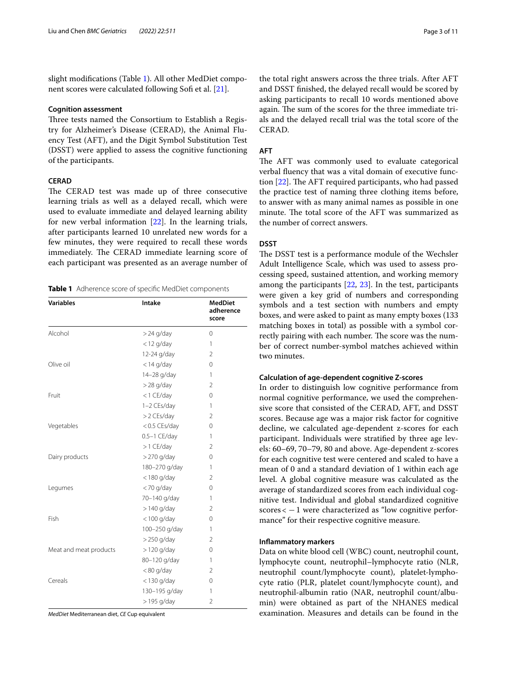slight modifcations (Table [1\)](#page-2-0). All other MedDiet compo-nent scores were calculated following Sofi et al. [[21\]](#page-10-17).

#### **Cognition assessment**

Three tests named the Consortium to Establish a Registry for Alzheimer's Disease (CERAD), the Animal Fluency Test (AFT), and the Digit Symbol Substitution Test (DSST) were applied to assess the cognitive functioning of the participants.

### **CERAD**

The CERAD test was made up of three consecutive learning trials as well as a delayed recall, which were used to evaluate immediate and delayed learning ability for new verbal information [[22\]](#page-10-18). In the learning trials, after participants learned 10 unrelated new words for a few minutes, they were required to recall these words immediately. The CERAD immediate learning score of each participant was presented as an average number of

<span id="page-2-0"></span>**Table 1** Adherence score of specifc MedDiet components

| <b>Variables</b>       | <b>Intake</b>  | <b>MedDiet</b><br>adherence<br>score |
|------------------------|----------------|--------------------------------------|
| Alcohol                | $>$ 24 g/day   | 0                                    |
|                        | $<$ 12 g/day   | 1                                    |
|                        | 12-24 g/day    | $\overline{2}$                       |
| Olive oil              | $<$ 14 g/day   | 0                                    |
|                        | 14-28 g/day    | 1                                    |
|                        | $>$ 28 g/day   | 2                                    |
| Fruit                  | <1 CE/day      | $\mathbf 0$                          |
|                        | 1-2 CEs/day    | 1                                    |
|                        | >2 CEs/day     | $\overline{2}$                       |
| Vegetables             | <0.5 CEs/day   | 0                                    |
|                        | $0.5-1$ CE/day | 1                                    |
|                        | >1 CE/day      | $\overline{2}$                       |
| Dairy products         | $>$ 270 g/day  | $\mathbf 0$                          |
|                        | 180-270 g/day  | 1                                    |
|                        | $<$ 180 g/day  | $\overline{2}$                       |
| Legumes                | <70 g/day      | $\mathbf 0$                          |
|                        | 70-140 g/day   | 1                                    |
|                        | $>140$ g/day   | $\overline{2}$                       |
| Fish                   | $<$ 100 g/day  | $\mathbf 0$                          |
|                        | 100-250 g/day  | 1                                    |
|                        | >250 g/day     | $\overline{2}$                       |
| Meat and meat products | $>120$ g/day   | 0                                    |
|                        | 80-120 g/day   | 1                                    |
|                        | $< 80$ g/day   | $\overline{2}$                       |
| Cereals                | <130 g/day     | $\mathbf 0$                          |
|                        | 130-195 g/day  | 1                                    |
|                        | $>$ 195 g/day  | $\overline{2}$                       |

*MedDiet* Mediterranean diet, *CE* Cup equivalent

the total right answers across the three trials. After AFT and DSST fnished, the delayed recall would be scored by asking participants to recall 10 words mentioned above again. The sum of the scores for the three immediate trials and the delayed recall trial was the total score of the CERAD.

### **AFT**

The AFT was commonly used to evaluate categorical verbal fuency that was a vital domain of executive function  $[22]$  $[22]$  $[22]$ . The AFT required participants, who had passed the practice test of naming three clothing items before, to answer with as many animal names as possible in one minute. The total score of the AFT was summarized as the number of correct answers.

### **DSST**

The DSST test is a performance module of the Wechsler Adult Intelligence Scale, which was used to assess processing speed, sustained attention, and working memory among the participants [\[22](#page-10-18), [23\]](#page-10-19). In the test, participants were given a key grid of numbers and corresponding symbols and a test section with numbers and empty boxes, and were asked to paint as many empty boxes (133 matching boxes in total) as possible with a symbol correctly pairing with each number. The score was the number of correct number-symbol matches achieved within two minutes.

#### **Calculation of age‑dependent cognitive Z‑scores**

In order to distinguish low cognitive performance from normal cognitive performance, we used the comprehensive score that consisted of the CERAD, AFT, and DSST scores. Because age was a major risk factor for cognitive decline, we calculated age-dependent z-scores for each participant. Individuals were stratifed by three age levels: 60–69, 70–79, 80 and above. Age-dependent z-scores for each cognitive test were centered and scaled to have a mean of 0 and a standard deviation of 1 within each age level. A global cognitive measure was calculated as the average of standardized scores from each individual cognitive test. Individual and global standardized cognitive  $scores < -1$  were characterized as "low cognitive performance" for their respective cognitive measure.

#### **Infammatory markers**

Data on white blood cell (WBC) count, neutrophil count, lymphocyte count, neutrophil–lymphocyte ratio (NLR, neutrophil count/lymphocyte count), platelet-lymphocyte ratio (PLR, platelet count/lymphocyte count), and neutrophil-albumin ratio (NAR, neutrophil count/albumin) were obtained as part of the NHANES medical examination. Measures and details can be found in the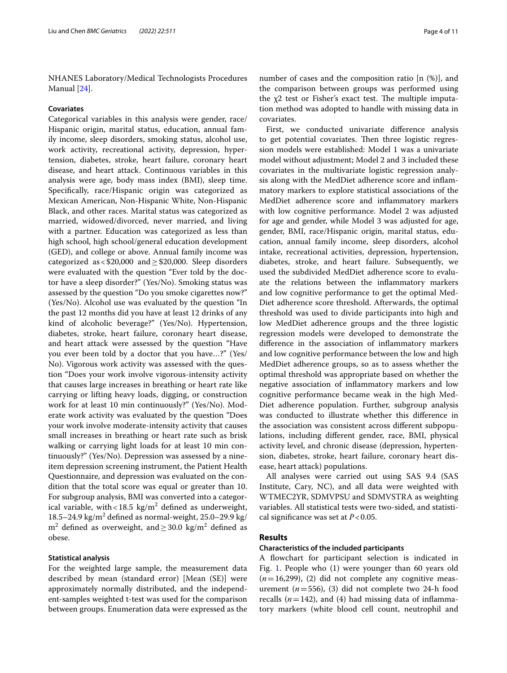NHANES Laboratory/Medical Technologists Procedures Manual [[24](#page-10-20)].

#### **Covariates**

Categorical variables in this analysis were gender, race/ Hispanic origin, marital status, education, annual family income, sleep disorders, smoking status, alcohol use, work activity, recreational activity, depression, hypertension, diabetes, stroke, heart failure, coronary heart disease, and heart attack. Continuous variables in this analysis were age, body mass index (BMI), sleep time. Specifcally, race/Hispanic origin was categorized as Mexican American, Non-Hispanic White, Non-Hispanic Black, and other races. Marital status was categorized as married, widowed/divorced, never married, and living with a partner. Education was categorized as less than high school, high school/general education development (GED), and college or above. Annual family income was categorized as <\$20,000 and  $\geq$  \$20,000. Sleep disorders were evaluated with the question "Ever told by the doctor have a sleep disorder?" (Yes/No). Smoking status was assessed by the question "Do you smoke cigarettes now?" (Yes/No). Alcohol use was evaluated by the question "In the past 12 months did you have at least 12 drinks of any kind of alcoholic beverage?" (Yes/No). Hypertension, diabetes, stroke, heart failure, coronary heart disease, and heart attack were assessed by the question "Have you ever been told by a doctor that you have…?" (Yes/ No). Vigorous work activity was assessed with the question "Does your work involve vigorous-intensity activity that causes large increases in breathing or heart rate like carrying or lifting heavy loads, digging, or construction work for at least 10 min continuously?" (Yes/No). Moderate work activity was evaluated by the question "Does your work involve moderate-intensity activity that causes small increases in breathing or heart rate such as brisk walking or carrying light loads for at least 10 min continuously?" (Yes/No). Depression was assessed by a nineitem depression screening instrument, the Patient Health Questionnaire, and depression was evaluated on the condition that the total score was equal or greater than 10. For subgroup analysis, BMI was converted into a categorical variable, with <  $18.5 \text{ kg/m}^2$  defined as underweight,  $18.5-24.9$  kg/m<sup>2</sup> defined as normal-weight,  $25.0-29.9$  kg/  $m<sup>2</sup>$  defined as overweight, and  $\geq$  30.0 kg/m<sup>2</sup> defined as obese.

#### **Statistical analysis**

For the weighted large sample, the measurement data described by mean (standard error) [Mean (SE)] were approximately normally distributed, and the independent-samples weighted t-test was used for the comparison between groups. Enumeration data were expressed as the

number of cases and the composition ratio [n (%)], and the comparison between groups was performed using the  $x^2$  test or Fisher's exact test. The multiple imputation method was adopted to handle with missing data in covariates.

First, we conducted univariate diference analysis to get potential covariates. Then three logistic regression models were established: Model 1 was a univariate model without adjustment; Model 2 and 3 included these covariates in the multivariate logistic regression analysis along with the MedDiet adherence score and infammatory markers to explore statistical associations of the MedDiet adherence score and infammatory markers with low cognitive performance. Model 2 was adjusted for age and gender, while Model 3 was adjusted for age, gender, BMI, race/Hispanic origin, marital status, education, annual family income, sleep disorders, alcohol intake, recreational activities, depression, hypertension, diabetes, stroke, and heart failure. Subsequently, we used the subdivided MedDiet adherence score to evaluate the relations between the infammatory markers and low cognitive performance to get the optimal Med-Diet adherence score threshold. Afterwards, the optimal threshold was used to divide participants into high and low MedDiet adherence groups and the three logistic regression models were developed to demonstrate the diference in the association of infammatory markers and low cognitive performance between the low and high MedDiet adherence groups, so as to assess whether the optimal threshold was appropriate based on whether the negative association of infammatory markers and low cognitive performance became weak in the high Med-Diet adherence population. Further, subgroup analysis was conducted to illustrate whether this diference in the association was consistent across diferent subpopulations, including diferent gender, race, BMI, physical activity level, and chronic disease (depression, hypertension, diabetes, stroke, heart failure, coronary heart disease, heart attack) populations.

All analyses were carried out using SAS 9.4 (SAS Institute, Cary, NC), and all data were weighted with WTMEC2YR, SDMVPSU and SDMVSTRA as weighting variables. All statistical tests were two-sided, and statistical signifcance was set at *P*<0.05.

### **Results**

### **Characteristics of the included participants**

A fowchart for participant selection is indicated in Fig. [1.](#page-4-0) People who (1) were younger than 60 years old  $(n=16,299)$ , (2) did not complete any cognitive measurement (*n*=556), (3) did not complete two 24-h food recalls  $(n=142)$ , and  $(4)$  had missing data of inflammatory markers (white blood cell count, neutrophil and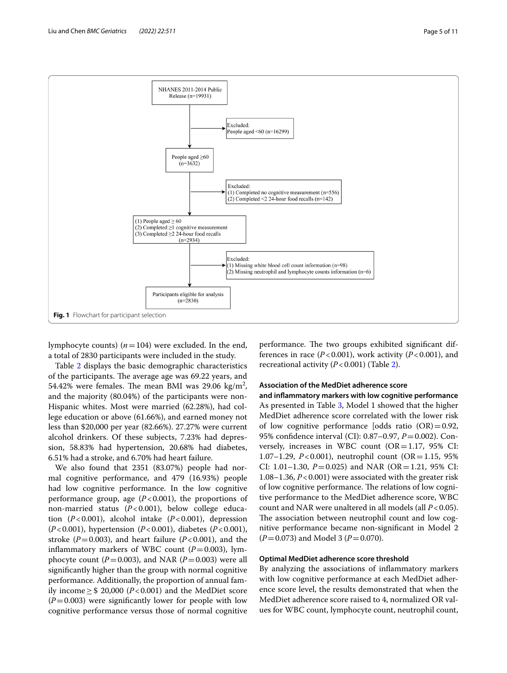

<span id="page-4-0"></span>lymphocyte counts)  $(n=104)$  were excluded. In the end, a total of 2830 participants were included in the study.

Table [2](#page-5-0) displays the basic demographic characteristics of the participants. The average age was 69.22 years, and 54.42% were females. The mean BMI was 29.06  $\text{kg/m}^2$ , and the majority (80.04%) of the participants were non-Hispanic whites. Most were married (62.28%), had college education or above (61.66%), and earned money not less than \$20,000 per year (82.66%). 27.27% were current alcohol drinkers. Of these subjects, 7.23% had depression, 58.83% had hypertension, 20.68% had diabetes, 6.51% had a stroke, and 6.70% had heart failure.

We also found that 2351 (83.07%) people had normal cognitive performance, and 479 (16.93%) people had low cognitive performance. In the low cognitive performance group, age  $(P<0.001)$ , the proportions of non-married status (*P*<0.001), below college education (*P*<0.001), alcohol intake (*P*<0.001), depression (*P*<0.001), hypertension (*P*<0.001), diabetes (*P*<0.001), stroke  $(P=0.003)$ , and heart failure  $(P<0.001)$ , and the inflammatory markers of WBC count  $(P=0.003)$ , lymphocyte count ( $P=0.003$ ), and NAR ( $P=0.003$ ) were all signifcantly higher than the group with normal cognitive performance. Additionally, the proportion of annual family income≥\$ 20,000 (*P*<0.001) and the MedDiet score  $(P=0.003)$  were significantly lower for people with low cognitive performance versus those of normal cognitive

performance. The two groups exhibited significant differences in race  $(P<0.001)$ , work activity  $(P<0.001)$ , and recreational activity  $(P<0.001)$  (Table [2\)](#page-5-0).

## **Association of the MedDiet adherence score**

**and infammatory markers with low cognitive performance** As presented in Table [3,](#page-6-0) Model 1 showed that the higher MedDiet adherence score correlated with the lower risk of low cognitive performance [odds ratio  $(OR) = 0.92$ , 95% confdence interval (CI): 0.87–0.97, *P*=0.002). Conversely, increases in WBC count  $(OR=1.17, 95\% \text{ CI:})$ 1.07–1.29, *P*<0.001), neutrophil count (OR=1.15, 95% CI: 1.01–1.30,  $P = 0.025$ ) and NAR (OR=1.21, 95% CI: 1.08–1.36, *P*<0.001) were associated with the greater risk of low cognitive performance. The relations of low cognitive performance to the MedDiet adherence score, WBC count and NAR were unaltered in all models (all *P*<0.05). The association between neutrophil count and low cognitive performance became non-signifcant in Model 2 (*P*=0.073) and Model 3 (*P*=0.070).

### **Optimal MedDiet adherence score threshold**

By analyzing the associations of infammatory markers with low cognitive performance at each MedDiet adherence score level, the results demonstrated that when the MedDiet adherence score raised to 4, normalized OR values for WBC count, lymphocyte count, neutrophil count,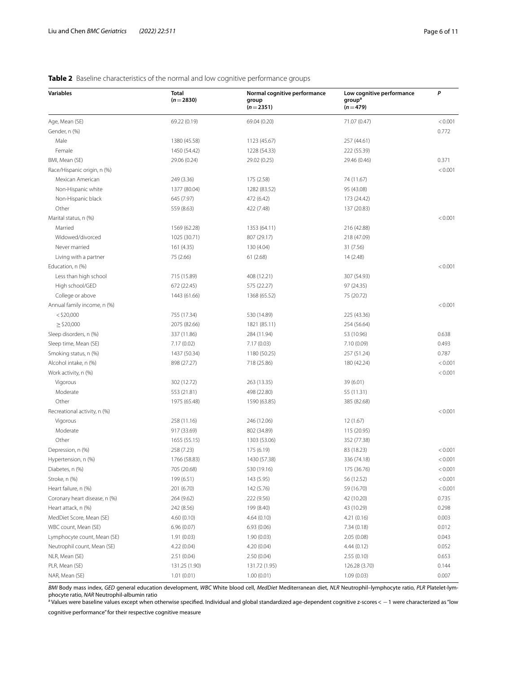### **Variables Total**  $(n=2830)$ **Normal cognitive performance group**  $(n=2351)$ **Low cognitive performance groupa**  $(n=479)$ *P* Age, Mean (SE) 69.22 (0.19) 69.04 (0.20) 71.07 (0.47) < 0.001 Gender, n (%) 0.772 Male 1380 (45.58) 1380 (45.58) 1123 (45.67) 1123 (45.67) 257 (44.61) Female 1450 (54.42) 1228 (54.33) 222 (55.39) BMI, Mean (SE) 29.06 (0.24) 29.02 (0.25) 29.46 (0.46) 0.371 Race/Hispanic origin, n (%) < 0.001 Mexican American 249 (3.36) 175 (2.58) 74 (11.67) Non-Hispanic white 1377 (80.04) 1282 (83.52) 95 (43.08) Non-Hispanic black 645 (7.97) 472 (6.42) 173 (24.42) Other 3. 137 (20.83) 559 (8.63) 422 (7.48) 422 (7.48) 559 (8.63) Marital status, n (%) <0.001 Married 1569 (62.28) 1353 (64.11) 216 (42.88) Widowed/divorced 1025 (30.71) 807 (29.17) 218 (47.09) Never married 161 (4.35) 161 (4.35) 130 (4.04) 130 (4.04) Living with a partner 11 (2.48) 14 (2.48) 14 (2.48) 14 (2.48) Education, n (%) <0.001 Less than high school 715 (15.89) 408 (12.21) 307 (54.93) High school/GED 672 (22.45) 575 (22.27) 97 (24.35) College or above 1443 (61.66) 1368 (65.52) 1368 (65.52) 75 (20.72) Annual family income, n (%)  $\leq 0.001$  <\$20,000 755 (17.34) 530 (14.89) 225 (43.36)  $\geq$  \$20,000 2075 (82.66) 1821 (85.11) 254 (56.64) Sleep disorders, n (%) 337 (11.86) 337 (11.86) 337 (11.86) 337 (11.84) 53 (10.96) 53 (10.96) Sleep time, Mean (SE)  $7.17 (0.02)$   $7.17 (0.03)$   $7.17 (0.03)$   $7.10 (0.09)$   $0.493$ Smoking status, n (%) 1437 (50.34) 1180 (50.25) 1180 (50.25) 257 (51.24) 257 (51.24) 0.787 Alcohol intake, n (%) 698 (27.27) 898 (27.27) 718 (25.86) 180 (42.24) 180 (42.24) 400 181 (42.24)  $\text{Work activity, } \mathsf{n} \left( \theta_0 \right) \leq 0.001$ Vigorous 302 (12.72) 263 (13.35) 39 (6.01) Moderate 553 (21.81) 55 (21.81) 498 (22.80) 55 (11.31) Other 1975 (65.48) 1975 (65.48) 1590 (63.85) 385 (82.68)  $Recretional activity, n (96) < 0.001$ Vigorous 258 (11.16) 246 (12.06) 12 (1.67) Moderate 115 (20.95) 917 (33.69) 802 (34.89) 802 (34.89) 802 (34.89) Other 1655 (55.15) 1655 (55.15) 1303 (53.06) 1303 (53.06) 352 (77.38) Depression, n (%) 258 (7.23) 258 (7.23) 175 (6.19) 258 (7.23 (7.23) 30 (8.19) 258 (7.23) Hypertension, n (%) 1766 (58.83) 1766 (58.83) 1430 (57.38) 336 (74.18) 336 (74.18) 40001 Diabetes, n (%) 705 (20.68) 705 (20.68) 530 (19.16) 530 (19.16) 530 (19.16) 530 (19.16) 530 (19.16) 530 (19.16) Stroke, n (%) 199 (6.51) 199 (6.51) 143 (5.95) 56 (12.52) 56 (12.52) 56 (12.52) 115 (12.52) Heart failure, n (%)  $201 (6.70)$   $201 (6.70)$   $142 (5.76)$   $59 (16.70)$   $50 (16.70)$   $50 (16.70)$ Coronary heart disease, n (%) 264 (9.62) 222 (9.56) 42 (10.20) 0.735 Heart attack, n (%) 242 (8.56) 199 (8.40) 43 (10.29) 0.298 MedDiet Score, Mean (SE) 60.003 (0.10) 4.64 (0.10) 4.64 (0.10) 4.64 (0.10) 4.64 (0.10 WBC count, Mean (SE) 6.96 (0.07) 6.96 (0.07) 6.93 (0.06) 6.93 (0.06) 7.34 (0.18) 0.012 Lymphocyte count, Mean (SE) 1.91 (0.03) 1.90 (0.03) 2.05 (0.08) 0.043 Neutrophil count, Mean (SE)  $4.22(0.04)$   $4.20(0.04)$   $4.20(0.04)$   $4.44(0.12)$   $0.052$ NLR, Mean (SE) 2.51 (0.04) 2.50 (0.04) 2.55 (0.10) 0.653 PLR, Mean (SE) 131.25 (1.90) 131.25 (1.95) 131.72 (1.95) 131.72 (1.95) 126.28 (3.70) 126.28 (3.70) 2.144 NAR, Mean (SE) 1.01 (0.01) 1.01 (0.01) 1.00 (0.01) 1.00 (0.01) 1.09 (0.03) 1.09 (0.03) 0.007

### <span id="page-5-0"></span>**Table 2** Baseline characteristics of the normal and low cognitive performance groups

*BMI* Body mass index, *GED* general education development, *WBC* White blood cell, *MedDiet* Mediterranean diet, *NLR* Neutrophil–lymphocyte ratio, *PLR* Platelet-lymphocyte ratio, *NAR* Neutrophil-albumin ratio

<sup>a</sup> Values were baseline values except when otherwise specified. Individual and global standardized age-dependent cognitive z-scores<  $-$  1 were characterized as "low

cognitive performance" for their respective cognitive measure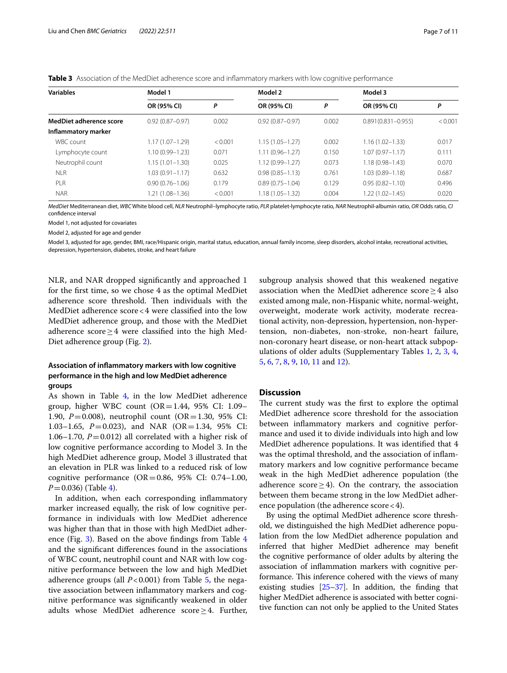| <b>Variables</b>        | Model 1             |         | Model 2             |       | Model 3                |         |
|-------------------------|---------------------|---------|---------------------|-------|------------------------|---------|
|                         | OR (95% CI)         | P       | OR (95% CI)         | P     | OR (95% CI)            | P       |
| MedDiet adherence score | $0.92(0.87 - 0.97)$ | 0.002   | $0.92(0.87 - 0.97)$ | 0.002 | $0.891(0.831 - 0.955)$ | < 0.001 |
| Inflammatory marker     |                     |         |                     |       |                        |         |
| WBC count               | $1.17(1.07 - 1.29)$ | < 0.001 | 1.15 (1.05-1.27)    | 0.002 | $1.16(1.02 - 1.33)$    | 0.017   |
| Lymphocyte count        | $1.10(0.99 - 1.23)$ | 0.071   | $1.11(0.96 - 1.27)$ | 0.150 | $1.07(0.97 - 1.17)$    | 0.111   |
| Neutrophil count        | $1.15(1.01 - 1.30)$ | 0.025   | 1.12 (0.99-1.27)    | 0.073 | $1.18(0.98 - 1.43)$    | 0.070   |
| <b>NLR</b>              | $1.03(0.91 - 1.17)$ | 0.632   | $0.98(0.85 - 1.13)$ | 0.761 | $1.03(0.89 - 1.18)$    | 0.687   |
| <b>PLR</b>              | $0.90(0.76 - 1.06)$ | 0.179   | $0.89(0.75 - 1.04)$ | 0.129 | $0.95(0.82 - 1.10)$    | 0.496   |
| <b>NAR</b>              | $1.21(1.08 - 1.36)$ | < 0.001 | 1.18 (1.05–1.32)    | 0.004 | $1.22(1.02 - 1.45)$    | 0.020   |

<span id="page-6-0"></span>**Table 3** Association of the MedDiet adherence score and inflammatory markers with low cognitive performance

*MedDiet* Mediterranean diet, *WBC* White blood cell, *NLR* Neutrophil–lymphocyte ratio, *PLR* platelet-lymphocyte ratio, *NAR* Neutrophil-albumin ratio, *OR* Odds ratio, *CI* confdence interval

Model 1, not adjusted for covariates

Model 2, adjusted for age and gender

Model 3, adjusted for age, gender, BMI, race/Hispanic origin, marital status, education, annual family income, sleep disorders, alcohol intake, recreational activities, depression, hypertension, diabetes, stroke, and heart failure

NLR, and NAR dropped signifcantly and approached 1 for the frst time, so we chose 4 as the optimal MedDiet adherence score threshold. Then individuals with the MedDiet adherence score<4 were classifed into the low MedDiet adherence group, and those with the MedDiet adherence score $\geq$ 4 were classified into the high Med-Diet adherence group (Fig. [2\)](#page-7-0).

## **Association of infammatory markers with low cognitive performance in the high and low MedDiet adherence groups**

As shown in Table [4](#page-7-1), in the low MedDiet adherence group, higher WBC count  $(OR=1.44, 95\% \text{ CI: } 1.09-$ 1.90, *P*=0.008), neutrophil count (OR=1.30, 95% CI: 1.03–1.65, *P*=0.023), and NAR (OR=1.34, 95% CI: 1.06–1.70,  $P = 0.012$ ) all correlated with a higher risk of low cognitive performance according to Model 3. In the high MedDiet adherence group, Model 3 illustrated that an elevation in PLR was linked to a reduced risk of low cognitive performance  $(OR = 0.86, 95\% \text{ CI: } 0.74-1.00,$ *P*=0.036) (Table [4\)](#page-7-1).

In addition, when each corresponding infammatory marker increased equally, the risk of low cognitive performance in individuals with low MedDiet adherence was higher than that in those with high MedDiet adherence (Fig. [3](#page-8-0)). Based on the above fndings from Table [4](#page-7-1) and the signifcant diferences found in the associations of WBC count, neutrophil count and NAR with low cognitive performance between the low and high MedDiet adherence groups (all *P*<0.001) from Table [5,](#page-8-1) the negative association between infammatory markers and cognitive performance was signifcantly weakened in older adults whose MedDiet adherence score $\geq$ 4. Further,

subgroup analysis showed that this weakened negative association when the MedDiet adherence score≥4 also existed among male, non-Hispanic white, normal-weight, overweight, moderate work activity, moderate recreational activity, non-depression, hypertension, non-hypertension, non-diabetes, non-stroke, non-heart failure, non-coronary heart disease, or non-heart attack subpopulations of older adults (Supplementary Tables [1,](#page-9-1) [2](#page-9-2), [3](#page-9-3), [4](#page-9-4), [5,](#page-9-5) [6](#page-9-6), [7,](#page-9-7) [8](#page-9-8), [9](#page-9-9), [10,](#page-9-10) [11](#page-9-11) and [12\)](#page-9-12).

### **Discussion**

The current study was the first to explore the optimal MedDiet adherence score threshold for the association between infammatory markers and cognitive performance and used it to divide individuals into high and low MedDiet adherence populations. It was identifed that 4 was the optimal threshold, and the association of infammatory markers and low cognitive performance became weak in the high MedDiet adherence population (the adherence score  $\geq$  4). On the contrary, the association between them became strong in the low MedDiet adherence population (the adherence score<4).

By using the optimal MedDiet adherence score threshold, we distinguished the high MedDiet adherence population from the low MedDiet adherence population and inferred that higher MedDiet adherence may beneft the cognitive performance of older adults by altering the association of infammation markers with cognitive performance. This inference cohered with the views of many existing studies  $[25-37]$  $[25-37]$  $[25-37]$ . In addition, the finding that higher MedDiet adherence is associated with better cognitive function can not only be applied to the United States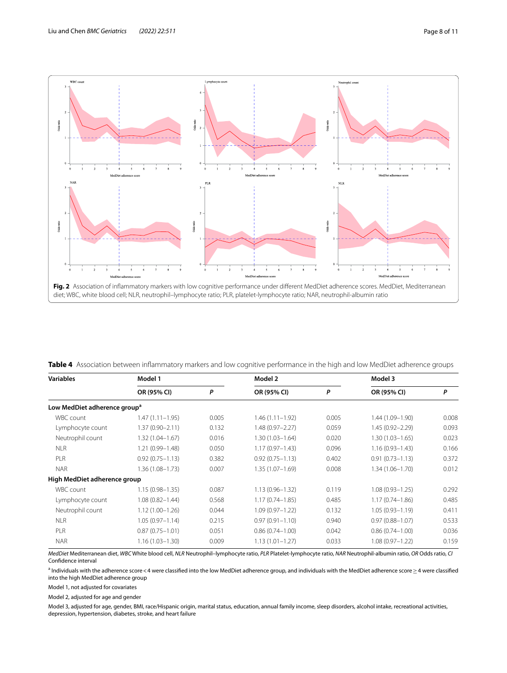

<span id="page-7-1"></span><span id="page-7-0"></span>**Table 4** Association between infammatory markers and low cognitive performance in the high and low MedDiet adherence groups

| <b>Variables</b>                         | Model 1             |       | Model 2             |       | Model 3             |       |
|------------------------------------------|---------------------|-------|---------------------|-------|---------------------|-------|
|                                          | OR (95% CI)         | P     | OR (95% CI)         | P     | OR (95% CI)         | P     |
| Low MedDiet adherence group <sup>a</sup> |                     |       |                     |       |                     |       |
| WBC count                                | $1.47(1.11 - 1.95)$ | 0.005 | $1.46(1.11 - 1.92)$ | 0.005 | 1.44 (1.09-1.90)    | 0.008 |
| Lymphocyte count                         | $1.37(0.90 - 2.11)$ | 0.132 | $1.48(0.97 - 2.27)$ | 0.059 | $1.45(0.92 - 2.29)$ | 0.093 |
| Neutrophil count                         | $1.32(1.04 - 1.67)$ | 0.016 | $1.30(1.03 - 1.64)$ | 0.020 | $1.30(1.03 - 1.65)$ | 0.023 |
| <b>NLR</b>                               | 1.21 (0.99-1.48)    | 0.050 | $1.17(0.97 - 1.43)$ | 0.096 | $1.16(0.93 - 1.43)$ | 0.166 |
| PLR                                      | $0.92(0.75 - 1.13)$ | 0.382 | $0.92(0.75 - 1.13)$ | 0.402 | $0.91(0.73 - 1.13)$ | 0.372 |
| <b>NAR</b>                               | 1.36 (1.08-1.73)    | 0.007 | $1.35(1.07 - 1.69)$ | 0.008 | $1.34(1.06 - 1.70)$ | 0.012 |
| High MedDiet adherence group             |                     |       |                     |       |                     |       |
| WBC count                                | $1.15(0.98 - 1.35)$ | 0.087 | $1.13(0.96 - 1.32)$ | 0.119 | $1.08(0.93 - 1.25)$ | 0.292 |
| Lymphocyte count                         | $1.08(0.82 - 1.44)$ | 0.568 | $1.17(0.74 - 1.85)$ | 0.485 | $1.17(0.74 - 1.86)$ | 0.485 |
| Neutrophil count                         | $1.12(1.00 - 1.26)$ | 0.044 | $1.09(0.97 - 1.22)$ | 0.132 | $1.05(0.93 - 1.19)$ | 0.411 |
| <b>NLR</b>                               | $1.05(0.97 - 1.14)$ | 0.215 | $0.97(0.91 - 1.10)$ | 0.940 | $0.97(0.88 - 1.07)$ | 0.533 |
| PLR                                      | $0.87(0.75 - 1.01)$ | 0.051 | $0.86(0.74 - 1.00)$ | 0.042 | $0.86(0.74 - 1.00)$ | 0.036 |
| <b>NAR</b>                               | $1.16(1.03 - 1.30)$ | 0.009 | $1.13(1.01 - 1.27)$ | 0.033 | $1.08(0.97 - 1.22)$ | 0.159 |

*MedDiet* Mediterranean diet, *WBC* White blood cell, *NLR* Neutrophil–lymphocyte ratio, *PLR* Platelet-lymphocyte ratio, *NAR* Neutrophil-albumin ratio, *OR* Odds ratio, *CI* Confdence interval

a Individuals with the adherence score<4 were classifed into the low MedDiet adherence group, and individuals with the MedDiet adherence score≥4 were classifed into the high MedDiet adherence group

Model 1, not adjusted for covariates

Model 2, adjusted for age and gender

Model 3, adjusted for age, gender, BMI, race/Hispanic origin, marital status, education, annual family income, sleep disorders, alcohol intake, recreational activities, depression, hypertension, diabetes, stroke, and heart failure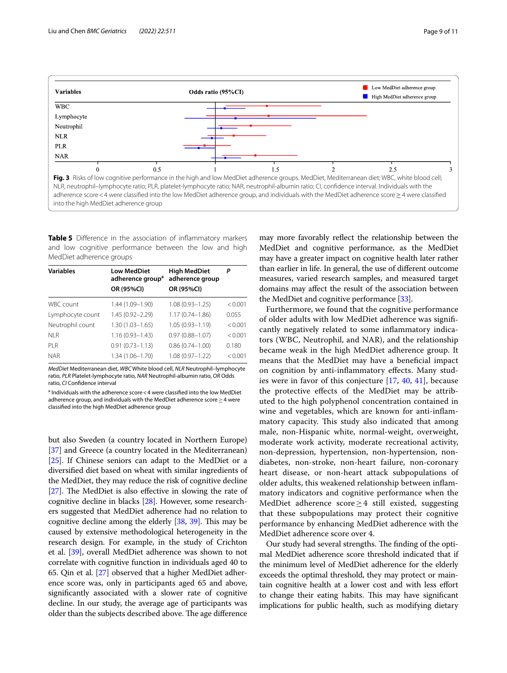

<span id="page-8-1"></span><span id="page-8-0"></span>**Table 5** Difference in the association of inflammatory markers and low cognitive performance between the low and high MedDiet adherence groups

| <b>Variables</b> | <b>Low MedDiet</b><br>adherence group <sup>a</sup><br>OR (95%CI) | <b>High MedDiet</b><br>adherence group<br>OR (95%CI) | P       |
|------------------|------------------------------------------------------------------|------------------------------------------------------|---------|
| <b>WBC</b> count | 1.44 (1.09-1.90)                                                 | $1.08(0.93 - 1.25)$                                  | < 0.001 |
| Lymphocyte count | 1.45 (0.92-2.29)                                                 | $1.17(0.74 - 1.86)$                                  | 0.055   |
| Neutrophil count | $1.30(1.03 - 1.65)$                                              | $1.05(0.93 - 1.19)$                                  | < 0.001 |
| NI R             | $1.16(0.93 - 1.43)$                                              | $0.97(0.88 - 1.07)$                                  | < 0.001 |
| PI R             | $0.91(0.73 - 1.13)$                                              | $0.86(0.74 - 1.00)$                                  | 0.180   |
| <b>NAR</b>       | $1.34(1.06 - 1.70)$                                              | $1.08(0.97 - 1.22)$                                  | < 0.001 |

*MedDiet* Mediterranean diet, *WBC* White blood cell, *NLR* Neutrophil–lymphocyte ratio, *PLR* Platelet-lymphocyte ratio, *NAR* Neutrophil-albumin ratio, *OR* Odds ratio, *CI* Confdence interval

<sup>a</sup> Individuals with the adherence score < 4 were classified into the low MedDiet adherence group, and individuals with the MedDiet adherence score > 4 were classifed into the high MedDiet adherence group

but also Sweden (a country located in Northern Europe) [[37](#page-10-22)] and Greece (a country located in the Mediterranean) [[25](#page-10-21)]. If Chinese seniors can adapt to the MedDiet or a diversifed diet based on wheat with similar ingredients of the MedDiet, they may reduce the risk of cognitive decline [[27](#page-10-23)]. The MedDiet is also effective in slowing the rate of cognitive decline in blacks [\[28\]](#page-10-24). However, some researchers suggested that MedDiet adherence had no relation to cognitive decline among the elderly  $[38, 39]$  $[38, 39]$  $[38, 39]$  $[38, 39]$  $[38, 39]$ . This may be caused by extensive methodological heterogeneity in the research design. For example, in the study of Crichton et al. [[39](#page-10-26)], overall MedDiet adherence was shown to not correlate with cognitive function in individuals aged 40 to 65. Qin et al. [\[27](#page-10-23)] observed that a higher MedDiet adherence score was, only in participants aged 65 and above, signifcantly associated with a slower rate of cognitive decline. In our study, the average age of participants was older than the subjects described above. The age difference

may more favorably refect the relationship between the MedDiet and cognitive performance, as the MedDiet may have a greater impact on cognitive health later rather than earlier in life. In general, the use of diferent outcome measures, varied research samples, and measured target domains may afect the result of the association between the MedDiet and cognitive performance [\[33\]](#page-10-27).

Furthermore, we found that the cognitive performance of older adults with low MedDiet adherence was signifcantly negatively related to some infammatory indicators (WBC, Neutrophil, and NAR), and the relationship became weak in the high MedDiet adherence group. It means that the MedDiet may have a benefcial impact on cognition by anti-infammatory efects. Many studies were in favor of this conjecture [[17,](#page-10-13) [40,](#page-10-28) [41](#page-10-29)], because the protective efects of the MedDiet may be attributed to the high polyphenol concentration contained in wine and vegetables, which are known for anti-infammatory capacity. This study also indicated that among male, non-Hispanic white, normal-weight, overweight, moderate work activity, moderate recreational activity, non-depression, hypertension, non-hypertension, nondiabetes, non-stroke, non-heart failure, non-coronary heart disease, or non-heart attack subpopulations of older adults, this weakened relationship between infammatory indicators and cognitive performance when the MedDiet adherence score≥4 still existed, suggesting that these subpopulations may protect their cognitive performance by enhancing MedDiet adherence with the MedDiet adherence score over 4.

Our study had several strengths. The finding of the optimal MedDiet adherence score threshold indicated that if the minimum level of MedDiet adherence for the elderly exceeds the optimal threshold, they may protect or maintain cognitive health at a lower cost and with less efort to change their eating habits. This may have significant implications for public health, such as modifying dietary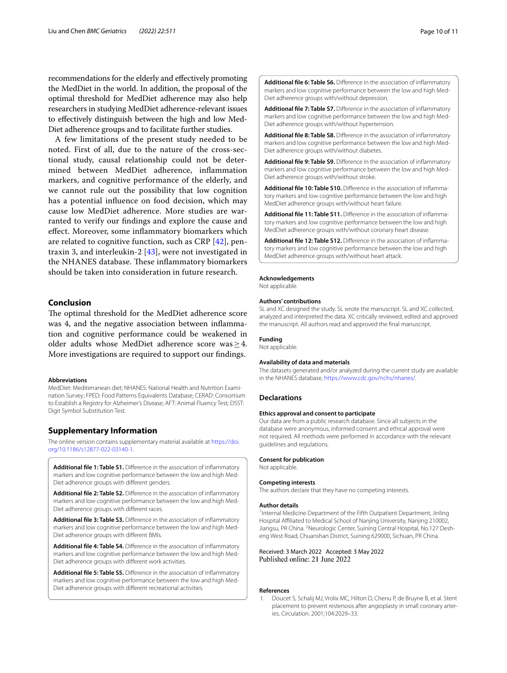recommendations for the elderly and efectively promoting the MedDiet in the world. In addition, the proposal of the optimal threshold for MedDiet adherence may also help researchers in studying MedDiet adherence-relevant issues to efectively distinguish between the high and low Med-Diet adherence groups and to facilitate further studies.

A few limitations of the present study needed to be noted. First of all, due to the nature of the cross-sectional study, causal relationship could not be determined between MedDiet adherence, infammation markers, and cognitive performance of the elderly, and we cannot rule out the possibility that low cognition has a potential infuence on food decision, which may cause low MedDiet adherence. More studies are warranted to verify our fndings and explore the cause and efect. Moreover, some infammatory biomarkers which are related to cognitive function, such as CRP [\[42](#page-10-30)], pentraxin 3, and interleukin-2 [\[43\]](#page-10-31), were not investigated in the NHANES database. These inflammatory biomarkers should be taken into consideration in future research.

### **Conclusion**

The optimal threshold for the MedDiet adherence score was 4, and the negative association between infammation and cognitive performance could be weakened in older adults whose MedDiet adherence score was≥4. More investigations are required to support our fndings.

#### **Abbreviations**

MedDiet: Mediterranean diet; NHANES: National Health and Nutrition Examination Survey; FPED: Food Patterns Equivalents Database; CERAD: Consortium to Establish a Registry for Alzheimer's Disease; AFT: Animal Fluency Test; DSST: Digit Symbol Substitution Test.

### **Supplementary Information**

The online version contains supplementary material available at [https://doi.](https://doi.org/10.1186/s12877-022-03140-1) [org/10.1186/s12877-022-03140-1](https://doi.org/10.1186/s12877-022-03140-1).

<span id="page-9-1"></span>Additional file 1: Table S1. Difference in the association of inflammatory markers and low cognitive performance between the low and high Med-Diet adherence groups with diferent genders.

<span id="page-9-2"></span>**Additional fle 2: Table S2.** Diference in the association of infammatory markers and low cognitive performance between the low and high Med-Diet adherence groups with diferent races.

<span id="page-9-3"></span>**Additional fle 3: Table S3.** Diference in the association of infammatory markers and low cognitive performance between the low and high Med-Diet adherence groups with diferent BMIs.

<span id="page-9-4"></span>**Additional fle 4: Table S4.** Diference in the association of infammatory markers and low cognitive performance between the low and high Med-Diet adherence groups with diferent work activities.

<span id="page-9-6"></span><span id="page-9-5"></span>**Additional fle 5: Table S5.** Diference in the association of infammatory markers and low cognitive performance between the low and high Med-Diet adherence groups with diferent recreational activities.

**Additional fle 6: Table S6.** Diference in the association of infammatory markers and low cognitive performance between the low and high Med-Diet adherence groups with/without depression.

<span id="page-9-7"></span>Additional file 7: Table S7. Difference in the association of inflammatory markers and low cognitive performance between the low and high Med-Diet adherence groups with/without hypertension.

<span id="page-9-8"></span>**Additional fle 8: Table S8.** Diference in the association of infammatory markers and low cognitive performance between the low and high Med-Diet adherence groups with/without diabetes.

<span id="page-9-9"></span>**Additional fle 9: Table S9.** Diference in the association of infammatory markers and low cognitive performance between the low and high Med-Diet adherence groups with/without stroke.

<span id="page-9-10"></span>**Additional fle 10: Table S10.** Diference in the association of infammatory markers and low cognitive performance between the low and high MedDiet adherence groups with/without heart failure.

<span id="page-9-11"></span>**Additional fle 11: Table S11.** Diference in the association of infammatory markers and low cognitive performance between the low and high MedDiet adherence groups with/without coronary heart disease.

<span id="page-9-12"></span>**Additional fle 12: Table S12.** Diference in the association of infammatory markers and low cognitive performance between the low and high MedDiet adherence groups with/without heart attack.

#### **Acknowledgements**

Not applicable.

#### **Authors' contributions**

SL and XC designed the study. SL wrote the manuscript. SL and XC collected, analyzed and interpreted the data. XC critically reviewed, edited and approved the manuscript. All authors read and approved the fnal manuscript.

#### **Funding**

Not applicable.

#### **Availability of data and materials**

The datasets generated and/or analyzed during the current study are available in the NHANES database, [https://www.cdc.gov/nchs/nhanes/.](https://www.cdc.gov/nchs/nhanes/)

#### **Declarations**

#### **Ethics approval and consent to participate**

Our data are from a public research database. Since all subjects in the database were anonymous, informed consent and ethical approval were not required. All methods were performed in accordance with the relevant guidelines and regulations.

#### **Consent for publication**

Not applicable.

#### **Competing interests**

The authors declare that they have no competing interests.

#### **Author details**

<sup>1</sup>Internal Medicine Department of the Fifth Outpatient Department, Jinling Hospital Afliated to Medical School of Nanjing University, Nanjing 210002, Jiangsu, PR China. <sup>2</sup> Neurologic Center, Suining Central Hospital, No.127 Desheng West Road, Chuanshan District, Suining 629000, Sichuan, PR China.

Received: 3 March 2022 Accepted: 3 May 2022<br>Published online: 21 June 2022

#### **References**

<span id="page-9-0"></span>1. Doucet S, Schalij MJ, Vrolix MC, Hilton D, Chenu P, de Bruyne B, et al. Stent placement to prevent restenosis after angioplasty in small coronary arteries. Circulation. 2001;104:2029–33.